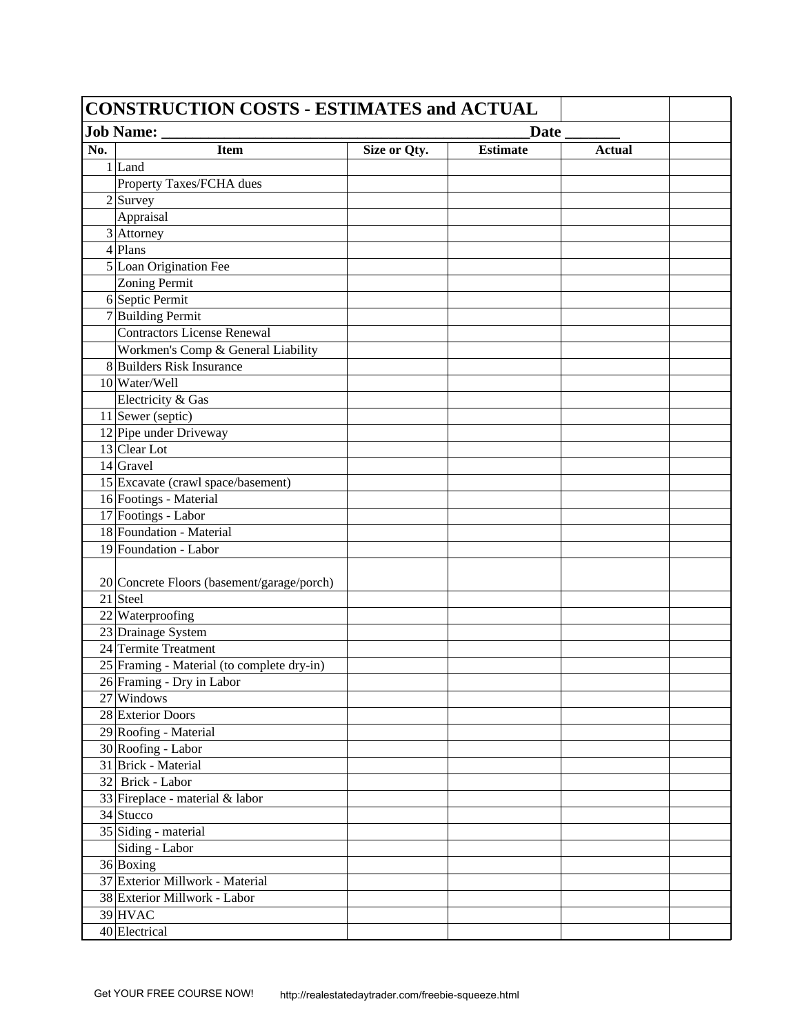| <b>CONSTRUCTION COSTS - ESTIMATES and ACTUAL</b>  |                                            |              |                 |               |  |
|---------------------------------------------------|--------------------------------------------|--------------|-----------------|---------------|--|
| <b>Job Name:</b><br>Date $\overline{\phantom{a}}$ |                                            |              |                 |               |  |
| No.                                               | <b>Item</b>                                | Size or Qty. | <b>Estimate</b> | <b>Actual</b> |  |
| 1 Land                                            |                                            |              |                 |               |  |
|                                                   | Property Taxes/FCHA dues                   |              |                 |               |  |
| $2$ Survey                                        |                                            |              |                 |               |  |
| Appraisal                                         |                                            |              |                 |               |  |
| $3$ Attorney                                      |                                            |              |                 |               |  |
| $4$ Plans                                         |                                            |              |                 |               |  |
| 5 Loan Origination Fee                            |                                            |              |                 |               |  |
| <b>Zoning Permit</b>                              |                                            |              |                 |               |  |
| 6 Septic Permit                                   |                                            |              |                 |               |  |
| 7 Building Permit                                 |                                            |              |                 |               |  |
|                                                   | <b>Contractors License Renewal</b>         |              |                 |               |  |
|                                                   | Workmen's Comp & General Liability         |              |                 |               |  |
| 8 Builders Risk Insurance                         |                                            |              |                 |               |  |
| 10 Water/Well                                     |                                            |              |                 |               |  |
| Electricity & Gas                                 |                                            |              |                 |               |  |
| 11 Sewer (septic)                                 |                                            |              |                 |               |  |
| 12 Pipe under Driveway                            |                                            |              |                 |               |  |
| 13 Clear Lot                                      |                                            |              |                 |               |  |
| $14$ Gravel                                       |                                            |              |                 |               |  |
|                                                   | 15 Excavate (crawl space/basement)         |              |                 |               |  |
| 16 Footings - Material                            |                                            |              |                 |               |  |
| 17 Footings - Labor                               |                                            |              |                 |               |  |
| 18 Foundation - Material                          |                                            |              |                 |               |  |
| 19 Foundation - Labor                             |                                            |              |                 |               |  |
|                                                   |                                            |              |                 |               |  |
|                                                   | 20 Concrete Floors (basement/garage/porch) |              |                 |               |  |
| 21 Steel                                          |                                            |              |                 |               |  |
| 22 Waterproofing                                  |                                            |              |                 |               |  |
| 23 Drainage System                                |                                            |              |                 |               |  |
| 24 Termite Treatment                              |                                            |              |                 |               |  |
|                                                   | 25 Framing - Material (to complete dry-in) |              |                 |               |  |
| 26 Framing - Dry in Labor                         |                                            |              |                 |               |  |
| 27 Windows                                        |                                            |              |                 |               |  |
| 28 Exterior Doors                                 |                                            |              |                 |               |  |
| 29 Roofing - Material                             |                                            |              |                 |               |  |
| 30 Roofing - Labor                                |                                            |              |                 |               |  |
| 31 Brick - Material                               |                                            |              |                 |               |  |
| 32 Brick - Labor                                  |                                            |              |                 |               |  |
| 33 Fireplace - material & labor                   |                                            |              |                 |               |  |
| 34 Stucco                                         |                                            |              |                 |               |  |
| 35 Siding - material                              |                                            |              |                 |               |  |
| Siding - Labor                                    |                                            |              |                 |               |  |
| 36 Boxing                                         |                                            |              |                 |               |  |
| 37 Exterior Millwork - Material                   |                                            |              |                 |               |  |
| 38 Exterior Millwork - Labor                      |                                            |              |                 |               |  |
| 39 HVAC                                           |                                            |              |                 |               |  |
| 40 Electrical                                     |                                            |              |                 |               |  |